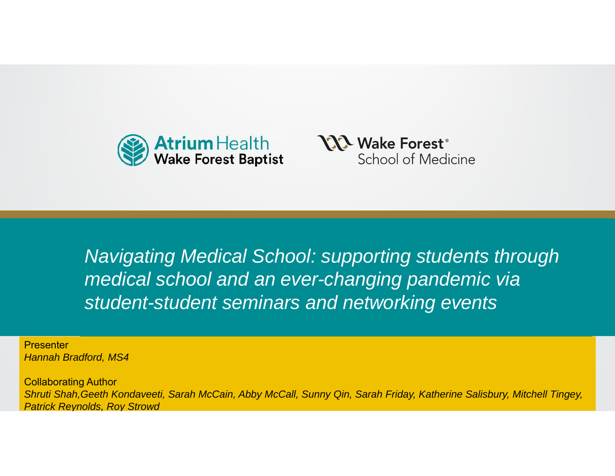



**Presentation Title***Navigating Medical School: supporting students through medical school and an ever-changing pandemic via*  student-student seminars and networking events

**Presenter** *Hannah Bradford, MS4*

**Collaborating Author** and name *Shruti Shah,Geeth Kondaveeti, Sarah McCain, Abby McCall, Sunny Qin, Sarah Friday, Katherine Salisbury, Mitchell Tingey, Patrick Reynolds, Roy Strowd*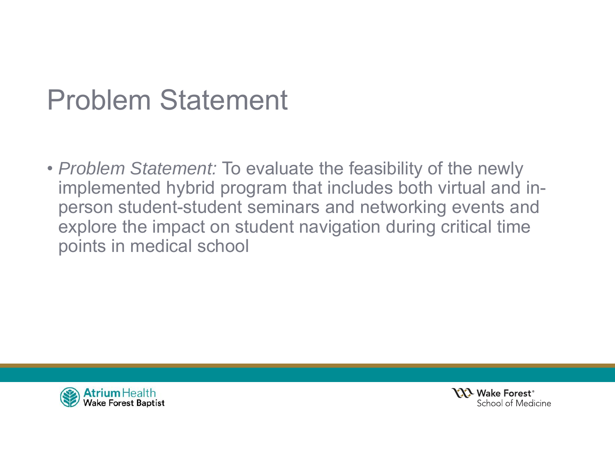# Problem Statement

• *Problem Statement:* To evaluate the feasibility of the newly implemented hybrid program that includes both virtual and inperson student-student seminars and networking events and explore the impact on student navigation during critical time points in medical school



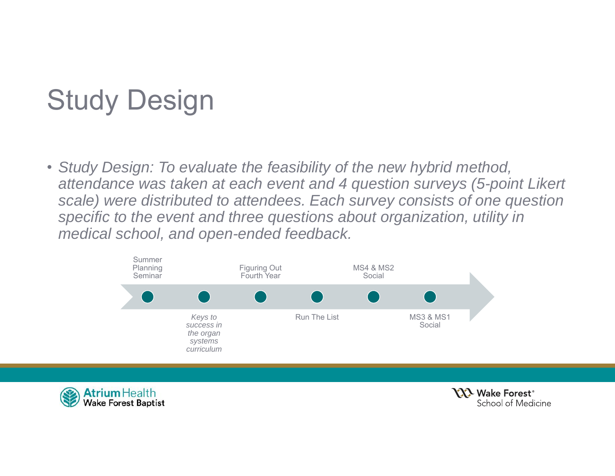# Study Design

• *Study Design: To evaluate the feasibility of the new hybrid method, attendance was taken at each event and 4 question surveys (5-point Likert scale) were distributed to attendees. Each survey consists of one question specific to the event and three questions about organization, utility in medical school, and open-ended feedback.*



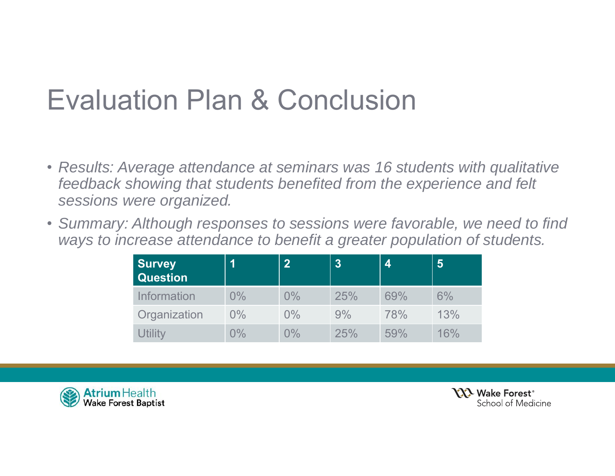## Evaluation Plan & Conclusion

- *Results: Average attendance at seminars was 16 students with qualitative feedback showing that students benefited from the experience and felt sessions were organized.*
- *Summary: Although responses to sessions were favorable, we need to find ways to increase attendance to benefit a greater population of students.*

| <b>Survey</b><br>Question |       | າ     | $\overline{3}$ | 4   | $\overline{\mathbf{5}}$ |
|---------------------------|-------|-------|----------------|-----|-------------------------|
| Information               | $0\%$ | $0\%$ | 25%            | 69% | $6\%$                   |
| Organization              | $0\%$ | $0\%$ | 9%             | 78% | 13%                     |
|                           | $0\%$ | $0\%$ | 25%            | 59% | 16%                     |



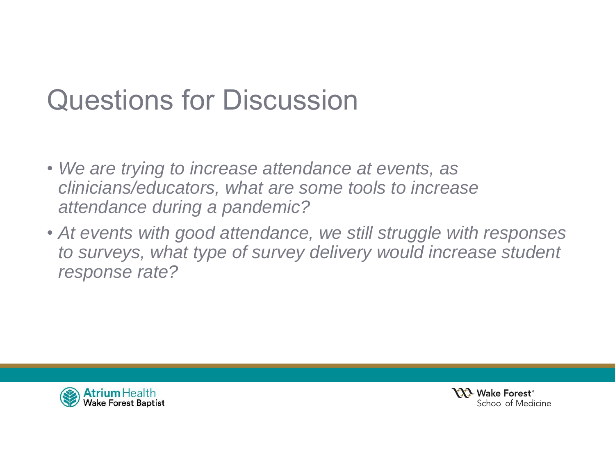# Questions for Discussion

- *We are trying to increase attendance at events, as clinicians/educators, what are some tools to increase attendance during a pandemic?*
- *At events with good attendance, we still struggle with responses to surveys, what type of survey delivery would increase student response rate?*